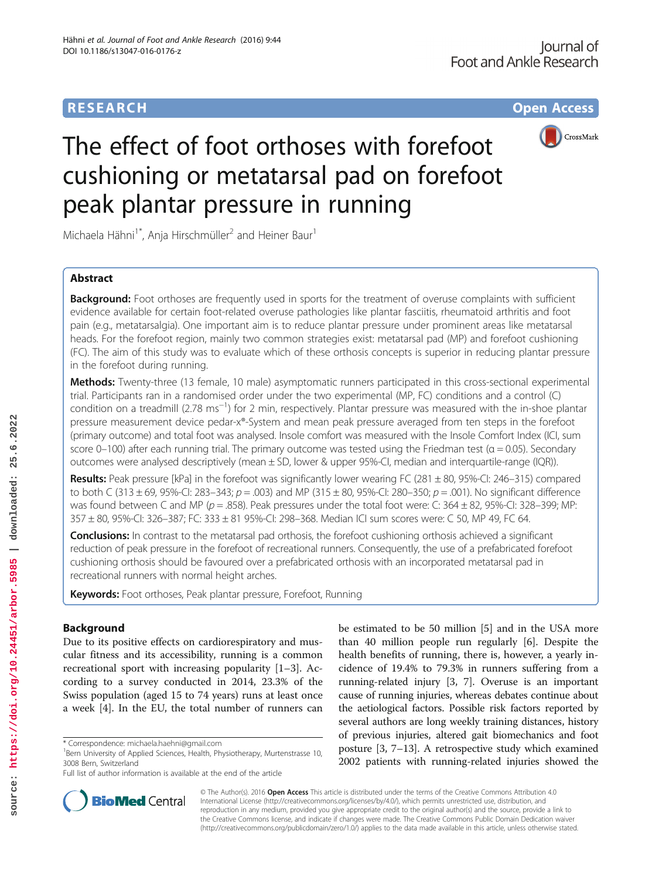# **RESEARCH CHE Open Access**



# The effect of foot orthoses with forefoot cushioning or metatarsal pad on forefoot peak plantar pressure in running

Michaela Hähni<sup>1\*</sup>, Anja Hirschmüller<sup>2</sup> and Heiner Baur<sup>1</sup>

# Abstract

**Background:** Foot orthoses are frequently used in sports for the treatment of overuse complaints with sufficient evidence available for certain foot-related overuse pathologies like plantar fasciitis, rheumatoid arthritis and foot pain (e.g., metatarsalgia). One important aim is to reduce plantar pressure under prominent areas like metatarsal heads. For the forefoot region, mainly two common strategies exist: metatarsal pad (MP) and forefoot cushioning (FC). The aim of this study was to evaluate which of these orthosis concepts is superior in reducing plantar pressure in the forefoot during running.

Methods: Twenty-three (13 female, 10 male) asymptomatic runners participated in this cross-sectional experimental trial. Participants ran in a randomised order under the two experimental (MP, FC) conditions and a control (C) condition on a treadmill (2.78 ms−<sup>1</sup> ) for 2 min, respectively. Plantar pressure was measured with the in-shoe plantar pressure measurement device pedar-x®-System and mean peak pressure averaged from ten steps in the forefoot (primary outcome) and total foot was analysed. Insole comfort was measured with the Insole Comfort Index (ICI, sum score 0–100) after each running trial. The primary outcome was tested using the Friedman test ( $\alpha$  = 0.05). Secondary outcomes were analysed descriptively (mean ± SD, lower & upper 95%-CI, median and interquartile-range (IQR)).

Results: Peak pressure [kPa] in the forefoot was significantly lower wearing FC (281 ± 80, 95%-CI: 246-315) compared to both C (313  $\pm$  69, 95%-CI: 283–343; p = .003) and MP (315  $\pm$  80, 95%-CI: 280–350; p = .001). No significant difference was found between C and MP ( $p = 0.858$ ). Peak pressures under the total foot were: C: 364 ± 82, 95%-CI: 328–399; MP: 357 ± 80, 95%-CI: 326–387; FC: 333 ± 81 95%-CI: 298–368. Median ICI sum scores were: C 50, MP 49, FC 64.

**Conclusions:** In contrast to the metatarsal pad orthosis, the forefoot cushioning orthosis achieved a significant reduction of peak pressure in the forefoot of recreational runners. Consequently, the use of a prefabricated forefoot cushioning orthosis should be favoured over a prefabricated orthosis with an incorporated metatarsal pad in recreational runners with normal height arches.

Keywords: Foot orthoses, Peak plantar pressure, Forefoot, Running

# Background

Due to its positive effects on cardiorespiratory and muscular fitness and its accessibility, running is a common recreational sport with increasing popularity [1–3]. According to a survey conducted in 2014, 23.3% of the Swiss population (aged 15 to 74 years) runs at least once a week [4]. In the EU, the total number of runners can be estimated to be 50 million [5] and in the USA more than 40 million people run regularly [6]. Despite the health benefits of running, there is, however, a yearly incidence of 19.4% to 79.3% in runners suffering from a running-related injury [3, 7]. Overuse is an important cause of running injuries, whereas debates continue about the aetiological factors. Possible risk factors reported by several authors are long weekly training distances, history of previous injuries, altered gait biomechanics and foot posture [3, 7–13]. A retrospective study which examined 2002 patients with running-related injuries showed the



© The Author(s). 2016 Open Access This article is distributed under the terms of the Creative Commons Attribution 4.0 International License [\(http://creativecommons.org/licenses/by/4.0/](http://creativecommons.org/licenses/by/4.0/)), which permits unrestricted use, distribution, and reproduction in any medium, provided you give appropriate credit to the original author(s) and the source, provide a link to the Creative Commons license, and indicate if changes were made. The Creative Commons Public Domain Dedication waiver [\(http://creativecommons.org/publicdomain/zero/1.0/](http://creativecommons.org/publicdomain/zero/1.0/)) applies to the data made available in this article, unless otherwise stated.

<sup>\*</sup> Correspondence: [michaela.haehni@gmail.com](mailto:michaela.haehni@gmail.com) <sup>1</sup>

 $18$ ern University of Applied Sciences, Health, Physiotherapy, Murtenstrasse 10, 3008 Bern, Switzerland

Full list of author information is available at the end of the article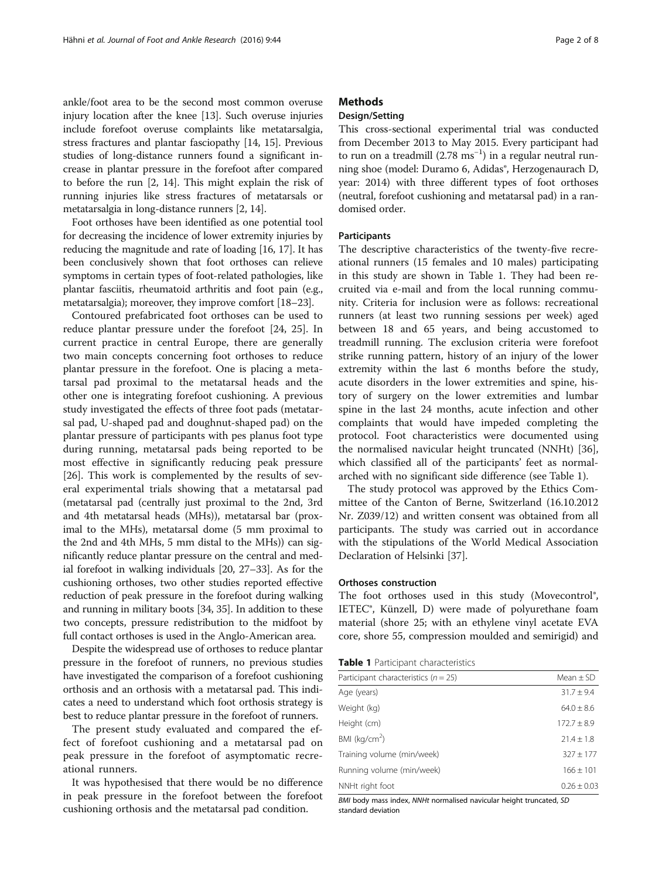ankle/foot area to be the second most common overuse injury location after the knee [13]. Such overuse injuries include forefoot overuse complaints like metatarsalgia, stress fractures and plantar fasciopathy [14, 15]. Previous studies of long-distance runners found a significant increase in plantar pressure in the forefoot after compared to before the run [2, 14]. This might explain the risk of running injuries like stress fractures of metatarsals or metatarsalgia in long-distance runners [2, 14].

Foot orthoses have been identified as one potential tool for decreasing the incidence of lower extremity injuries by reducing the magnitude and rate of loading [16, 17]. It has been conclusively shown that foot orthoses can relieve symptoms in certain types of foot-related pathologies, like plantar fasciitis, rheumatoid arthritis and foot pain (e.g., metatarsalgia); moreover, they improve comfort [18–23].

Contoured prefabricated foot orthoses can be used to reduce plantar pressure under the forefoot [24, 25]. In current practice in central Europe, there are generally two main concepts concerning foot orthoses to reduce plantar pressure in the forefoot. One is placing a metatarsal pad proximal to the metatarsal heads and the other one is integrating forefoot cushioning. A previous study investigated the effects of three foot pads (metatarsal pad, U-shaped pad and doughnut-shaped pad) on the plantar pressure of participants with pes planus foot type during running, metatarsal pads being reported to be most effective in significantly reducing peak pressure [26]. This work is complemented by the results of several experimental trials showing that a metatarsal pad (metatarsal pad (centrally just proximal to the 2nd, 3rd and 4th metatarsal heads (MHs)), metatarsal bar (proximal to the MHs), metatarsal dome (5 mm proximal to the 2nd and 4th MHs, 5 mm distal to the MHs)) can significantly reduce plantar pressure on the central and medial forefoot in walking individuals [20, 27–33]. As for the cushioning orthoses, two other studies reported effective reduction of peak pressure in the forefoot during walking and running in military boots [34, 35]. In addition to these two concepts, pressure redistribution to the midfoot by full contact orthoses is used in the Anglo-American area.

Despite the widespread use of orthoses to reduce plantar pressure in the forefoot of runners, no previous studies have investigated the comparison of a forefoot cushioning orthosis and an orthosis with a metatarsal pad. This indicates a need to understand which foot orthosis strategy is best to reduce plantar pressure in the forefoot of runners.

The present study evaluated and compared the effect of forefoot cushioning and a metatarsal pad on peak pressure in the forefoot of asymptomatic recreational runners.

It was hypothesised that there would be no difference in peak pressure in the forefoot between the forefoot cushioning orthosis and the metatarsal pad condition.

# **Methods**

# Design/Setting

This cross-sectional experimental trial was conducted from December 2013 to May 2015. Every participant had to run on a treadmill (2.78 ms−<sup>1</sup> ) in a regular neutral running shoe (model: Duramo 6, Adidas®, Herzogenaurach D, year: 2014) with three different types of foot orthoses (neutral, forefoot cushioning and metatarsal pad) in a randomised order.

#### Participants

The descriptive characteristics of the twenty-five recreational runners (15 females and 10 males) participating in this study are shown in Table 1. They had been recruited via e-mail and from the local running community. Criteria for inclusion were as follows: recreational runners (at least two running sessions per week) aged between 18 and 65 years, and being accustomed to treadmill running. The exclusion criteria were forefoot strike running pattern, history of an injury of the lower extremity within the last 6 months before the study, acute disorders in the lower extremities and spine, history of surgery on the lower extremities and lumbar spine in the last 24 months, acute infection and other complaints that would have impeded completing the protocol. Foot characteristics were documented using the normalised navicular height truncated (NNHt) [36], which classified all of the participants' feet as normalarched with no significant side difference (see Table 1).

The study protocol was approved by the Ethics Committee of the Canton of Berne, Switzerland (16.10.2012 Nr. Z039/12) and written consent was obtained from all participants. The study was carried out in accordance with the stipulations of the World Medical Association Declaration of Helsinki [37].

#### Orthoses construction

The foot orthoses used in this study (Movecontrol®, IETEC®, Künzell, D) were made of polyurethane foam material (shore 25; with an ethylene vinyl acetate EVA core, shore 55, compression moulded and semirigid) and

|  |  | <b>Table 1</b> Participant characteristics |  |  |
|--|--|--------------------------------------------|--|--|
|--|--|--------------------------------------------|--|--|

| Participant characteristics ( $n = 25$ ) | Mean $\pm$ SD  |
|------------------------------------------|----------------|
| Age (years)                              | $31.7 \pm 9.4$ |
| Weight (kg)                              | $64.0 + 8.6$   |
| Height (cm)                              | $172.7 + 8.9$  |
| BMI ( $kg/cm2$ )                         | $21.4 + 1.8$   |
| Training volume (min/week)               | $327 + 177$    |
| Running volume (min/week)                | $166 + 101$    |
| NNHt right foot                          | $0.26 + 0.03$  |

BMI body mass index, NNHt normalised navicular height truncated, SD standard deviation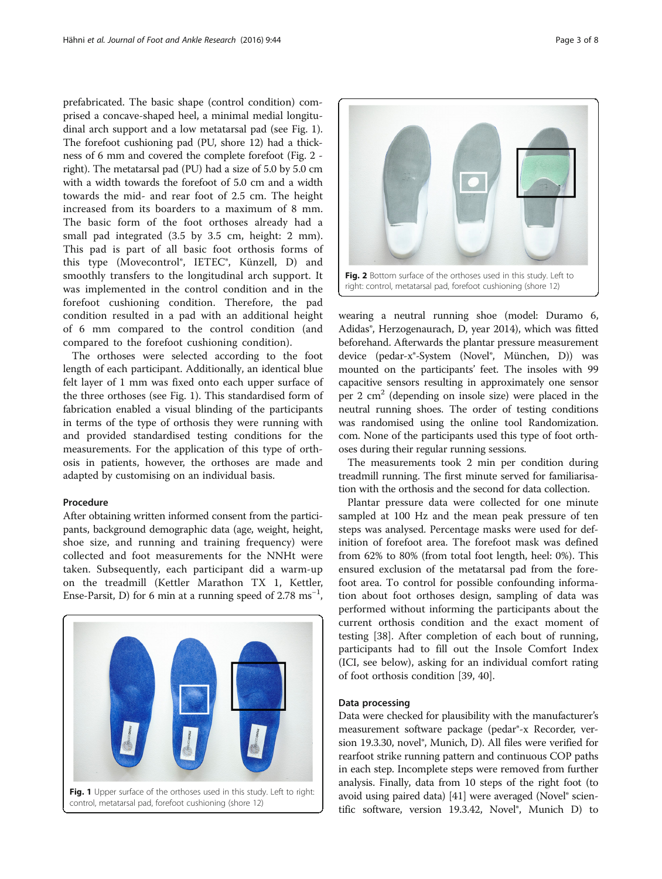prefabricated. The basic shape (control condition) comprised a concave-shaped heel, a minimal medial longitudinal arch support and a low metatarsal pad (see Fig. 1). The forefoot cushioning pad (PU, shore 12) had a thickness of 6 mm and covered the complete forefoot (Fig. 2 right). The metatarsal pad (PU) had a size of 5.0 by 5.0 cm with a width towards the forefoot of 5.0 cm and a width towards the mid- and rear foot of 2.5 cm. The height increased from its boarders to a maximum of 8 mm. The basic form of the foot orthoses already had a small pad integrated (3.5 by 3.5 cm, height: 2 mm). This pad is part of all basic foot orthosis forms of this type (Movecontrol®, IETEC®, Künzell, D) and smoothly transfers to the longitudinal arch support. It was implemented in the control condition and in the forefoot cushioning condition. Therefore, the pad condition resulted in a pad with an additional height of 6 mm compared to the control condition (and compared to the forefoot cushioning condition).

The orthoses were selected according to the foot length of each participant. Additionally, an identical blue felt layer of 1 mm was fixed onto each upper surface of the three orthoses (see Fig. 1). This standardised form of fabrication enabled a visual blinding of the participants in terms of the type of orthosis they were running with and provided standardised testing conditions for the measurements. For the application of this type of orthosis in patients, however, the orthoses are made and adapted by customising on an individual basis.

## Procedure

After obtaining written informed consent from the participants, background demographic data (age, weight, height, shoe size, and running and training frequency) were collected and foot measurements for the NNHt were taken. Subsequently, each participant did a warm-up on the treadmill (Kettler Marathon TX 1, Kettler, Ense-Parsit, D) for 6 min at a running speed of 2.78  $\text{ms}^{-1}$ ,





Fig. 2 Bottom surface of the orthoses used in this study. Left to right: control, metatarsal pad, forefoot cushioning (shore 12)

wearing a neutral running shoe (model: Duramo 6, Adidas®, Herzogenaurach, D, year 2014), which was fitted beforehand. Afterwards the plantar pressure measurement device (pedar-x®-System (Novel®, München, D)) was mounted on the participants' feet. The insoles with 99 capacitive sensors resulting in approximately one sensor per 2 cm<sup>2</sup> (depending on insole size) were placed in the neutral running shoes. The order of testing conditions was randomised using the online tool Randomization. com. None of the participants used this type of foot orthoses during their regular running sessions.

The measurements took 2 min per condition during treadmill running. The first minute served for familiarisation with the orthosis and the second for data collection.

Plantar pressure data were collected for one minute sampled at 100 Hz and the mean peak pressure of ten steps was analysed. Percentage masks were used for definition of forefoot area. The forefoot mask was defined from 62% to 80% (from total foot length, heel: 0%). This ensured exclusion of the metatarsal pad from the forefoot area. To control for possible confounding information about foot orthoses design, sampling of data was performed without informing the participants about the current orthosis condition and the exact moment of testing [38]. After completion of each bout of running, participants had to fill out the Insole Comfort Index (ICI, see below), asking for an individual comfort rating of foot orthosis condition [39, 40].

#### Data processing

Data were checked for plausibility with the manufacturer's measurement software package (pedar®-x Recorder, version 19.3.30, novel®, Munich, D). All files were verified for rearfoot strike running pattern and continuous COP paths in each step. Incomplete steps were removed from further analysis. Finally, data from 10 steps of the right foot (to avoid using paired data) [41] were averaged (Novel® scientific software, version 19.3.42, Novel®, Munich D) to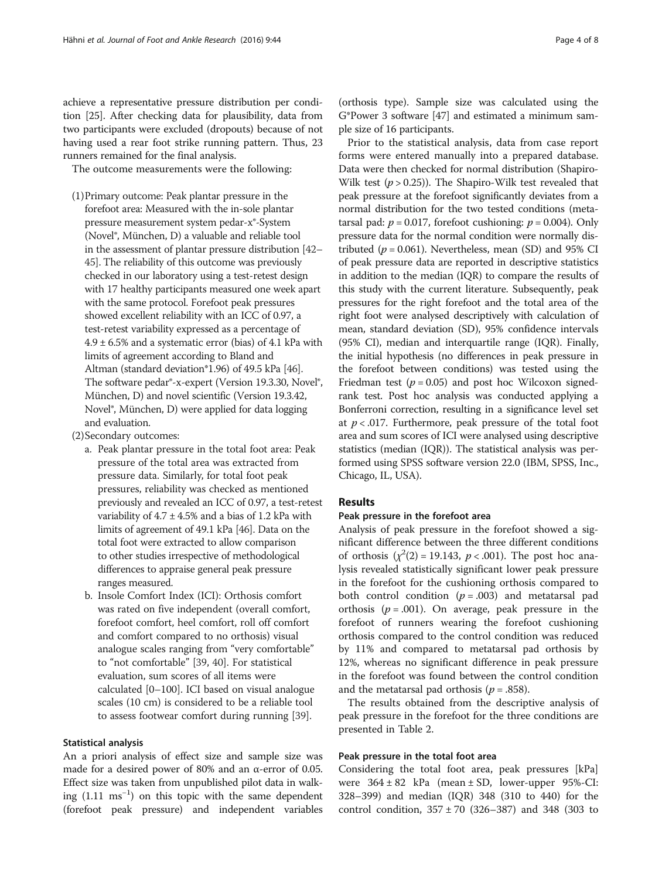achieve a representative pressure distribution per condition [25]. After checking data for plausibility, data from two participants were excluded (dropouts) because of not having used a rear foot strike running pattern. Thus, 23 runners remained for the final analysis.

The outcome measurements were the following:

- (1)Primary outcome: Peak plantar pressure in the forefoot area: Measured with the in-sole plantar pressure measurement system pedar-x®-System (Novel®, München, D) a valuable and reliable tool in the assessment of plantar pressure distribution [42– 45]. The reliability of this outcome was previously checked in our laboratory using a test-retest design with 17 healthy participants measured one week apart with the same protocol. Forefoot peak pressures showed excellent reliability with an ICC of 0.97, a test-retest variability expressed as a percentage of  $4.9 \pm 6.5\%$  and a systematic error (bias) of 4.1 kPa with limits of agreement according to Bland and Altman (standard deviation\*1.96) of 49.5 kPa [46]. The software pedar<sup>®</sup>-x-expert (Version 19.3.30, Novel<sup>®</sup>, München, D) and novel scientific (Version 19.3.42, Novel®, München, D) were applied for data logging and evaluation.
- (2)Secondary outcomes:
	- a. Peak plantar pressure in the total foot area: Peak pressure of the total area was extracted from pressure data. Similarly, for total foot peak pressures, reliability was checked as mentioned previously and revealed an ICC of 0.97, a test-retest variability of  $4.7 \pm 4.5\%$  and a bias of 1.2 kPa with limits of agreement of 49.1 kPa [46]. Data on the total foot were extracted to allow comparison to other studies irrespective of methodological differences to appraise general peak pressure ranges measured.
	- b. Insole Comfort Index (ICI): Orthosis comfort was rated on five independent (overall comfort, forefoot comfort, heel comfort, roll off comfort and comfort compared to no orthosis) visual analogue scales ranging from "very comfortable" to "not comfortable" [39, 40]. For statistical evaluation, sum scores of all items were calculated [0–100]. ICI based on visual analogue scales (10 cm) is considered to be a reliable tool to assess footwear comfort during running [39].

## Statistical analysis

An a priori analysis of effect size and sample size was made for a desired power of 80% and an α-error of 0.05. Effect size was taken from unpublished pilot data in walking (1.11 ms−<sup>1</sup> ) on this topic with the same dependent (forefoot peak pressure) and independent variables (orthosis type). Sample size was calculated using the G\*Power 3 software [47] and estimated a minimum sample size of 16 participants.

Prior to the statistical analysis, data from case report forms were entered manually into a prepared database. Data were then checked for normal distribution (Shapiro-Wilk test  $(p > 0.25)$ ). The Shapiro-Wilk test revealed that peak pressure at the forefoot significantly deviates from a normal distribution for the two tested conditions (metatarsal pad:  $p = 0.017$ , forefoot cushioning:  $p = 0.004$ ). Only pressure data for the normal condition were normally distributed ( $p = 0.061$ ). Nevertheless, mean (SD) and 95% CI of peak pressure data are reported in descriptive statistics in addition to the median (IQR) to compare the results of this study with the current literature. Subsequently, peak pressures for the right forefoot and the total area of the right foot were analysed descriptively with calculation of mean, standard deviation (SD), 95% confidence intervals (95% CI), median and interquartile range (IQR). Finally, the initial hypothesis (no differences in peak pressure in the forefoot between conditions) was tested using the Friedman test ( $p = 0.05$ ) and post hoc Wilcoxon signedrank test. Post hoc analysis was conducted applying a Bonferroni correction, resulting in a significance level set at  $p < .017$ . Furthermore, peak pressure of the total foot area and sum scores of ICI were analysed using descriptive statistics (median (IQR)). The statistical analysis was performed using SPSS software version 22.0 (IBM, SPSS, Inc., Chicago, IL, USA).

# Results

#### Peak pressure in the forefoot area

Analysis of peak pressure in the forefoot showed a significant difference between the three different conditions of orthosis  $(\chi^2(2) = 19.143, p < .001)$ . The post hoc analysis revealed statistically significant lower peak pressure in the forefoot for the cushioning orthosis compared to both control condition  $(p=.003)$  and metatarsal pad orthosis ( $p = .001$ ). On average, peak pressure in the forefoot of runners wearing the forefoot cushioning orthosis compared to the control condition was reduced by 11% and compared to metatarsal pad orthosis by 12%, whereas no significant difference in peak pressure in the forefoot was found between the control condition and the metatarsal pad orthosis ( $p = .858$ ).

The results obtained from the descriptive analysis of peak pressure in the forefoot for the three conditions are presented in Table 2.

# Peak pressure in the total foot area

Considering the total foot area, peak pressures [kPa] were  $364 \pm 82$  kPa (mean  $\pm$  SD, lower-upper 95%-CI: 328–399) and median (IQR) 348 (310 to 440) for the control condition,  $357 \pm 70$  (326–387) and 348 (303 to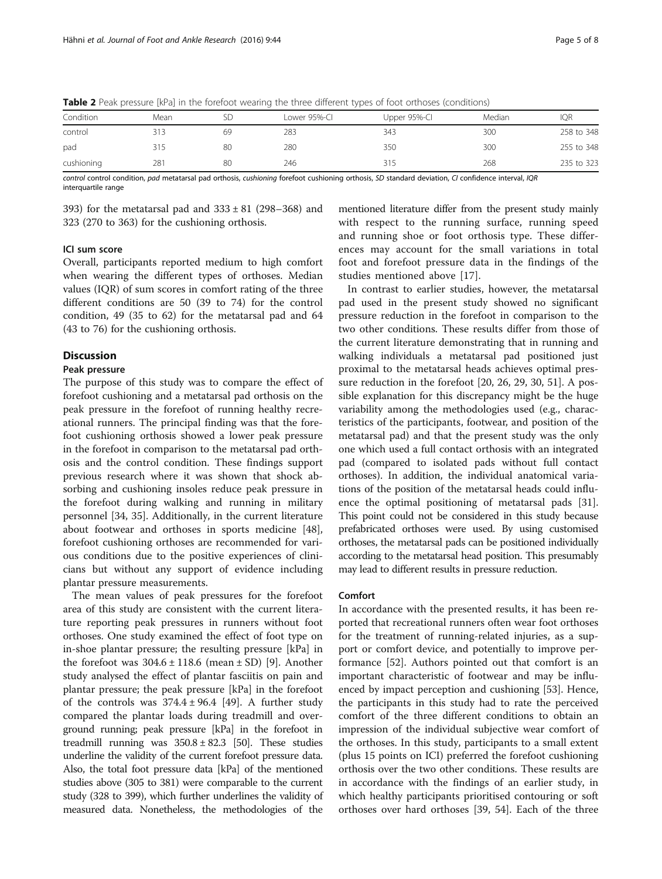| Condition  | Mean |    | Lower 95%-CI | Upper 95%-CI | Median | <b>IQR</b> |
|------------|------|----|--------------|--------------|--------|------------|
| control    |      | 69 | 283          | 343          | 300    | 258 to 348 |
| pad        | 315  | 80 | 280          | 350          | 300    | 255 to 348 |
| cushioning | 281  | 80 | 246          | 315          | 268    | 235 to 323 |

Table 2 Peak pressure [kPa] in the forefoot wearing the three different types of foot orthoses (conditions)

control control condition, pad metatarsal pad orthosis, cushioning forefoot cushioning orthosis, SD standard deviation, CI confidence interval, IQR interquartile range

393) for the metatarsal pad and  $333 \pm 81$  (298–368) and 323 (270 to 363) for the cushioning orthosis.

## ICI sum score

Overall, participants reported medium to high comfort when wearing the different types of orthoses. Median values (IQR) of sum scores in comfort rating of the three different conditions are 50 (39 to 74) for the control condition, 49 (35 to 62) for the metatarsal pad and 64 (43 to 76) for the cushioning orthosis.

## Discussion

#### Peak pressure

The purpose of this study was to compare the effect of forefoot cushioning and a metatarsal pad orthosis on the peak pressure in the forefoot of running healthy recreational runners. The principal finding was that the forefoot cushioning orthosis showed a lower peak pressure in the forefoot in comparison to the metatarsal pad orthosis and the control condition. These findings support previous research where it was shown that shock absorbing and cushioning insoles reduce peak pressure in the forefoot during walking and running in military personnel [34, 35]. Additionally, in the current literature about footwear and orthoses in sports medicine [48], forefoot cushioning orthoses are recommended for various conditions due to the positive experiences of clinicians but without any support of evidence including plantar pressure measurements.

The mean values of peak pressures for the forefoot area of this study are consistent with the current literature reporting peak pressures in runners without foot orthoses. One study examined the effect of foot type on in-shoe plantar pressure; the resulting pressure [kPa] in the forefoot was  $304.6 \pm 118.6$  (mean  $\pm$  SD) [9]. Another study analysed the effect of plantar fasciitis on pain and plantar pressure; the peak pressure [kPa] in the forefoot of the controls was  $374.4 \pm 96.4$  [49]. A further study compared the plantar loads during treadmill and overground running; peak pressure [kPa] in the forefoot in treadmill running was  $350.8 \pm 82.3$  [50]. These studies underline the validity of the current forefoot pressure data. Also, the total foot pressure data [kPa] of the mentioned studies above (305 to 381) were comparable to the current study (328 to 399), which further underlines the validity of measured data. Nonetheless, the methodologies of the mentioned literature differ from the present study mainly with respect to the running surface, running speed and running shoe or foot orthosis type. These differences may account for the small variations in total foot and forefoot pressure data in the findings of the studies mentioned above [17].

In contrast to earlier studies, however, the metatarsal pad used in the present study showed no significant pressure reduction in the forefoot in comparison to the two other conditions. These results differ from those of the current literature demonstrating that in running and walking individuals a metatarsal pad positioned just proximal to the metatarsal heads achieves optimal pressure reduction in the forefoot [20, 26, 29, 30, 51]. A possible explanation for this discrepancy might be the huge variability among the methodologies used (e.g., characteristics of the participants, footwear, and position of the metatarsal pad) and that the present study was the only one which used a full contact orthosis with an integrated pad (compared to isolated pads without full contact orthoses). In addition, the individual anatomical variations of the position of the metatarsal heads could influence the optimal positioning of metatarsal pads [31]. This point could not be considered in this study because prefabricated orthoses were used. By using customised orthoses, the metatarsal pads can be positioned individually according to the metatarsal head position. This presumably may lead to different results in pressure reduction.

#### Comfort

In accordance with the presented results, it has been reported that recreational runners often wear foot orthoses for the treatment of running-related injuries, as a support or comfort device, and potentially to improve performance [52]. Authors pointed out that comfort is an important characteristic of footwear and may be influenced by impact perception and cushioning [53]. Hence, the participants in this study had to rate the perceived comfort of the three different conditions to obtain an impression of the individual subjective wear comfort of the orthoses. In this study, participants to a small extent (plus 15 points on ICI) preferred the forefoot cushioning orthosis over the two other conditions. These results are in accordance with the findings of an earlier study, in which healthy participants prioritised contouring or soft orthoses over hard orthoses [39, 54]. Each of the three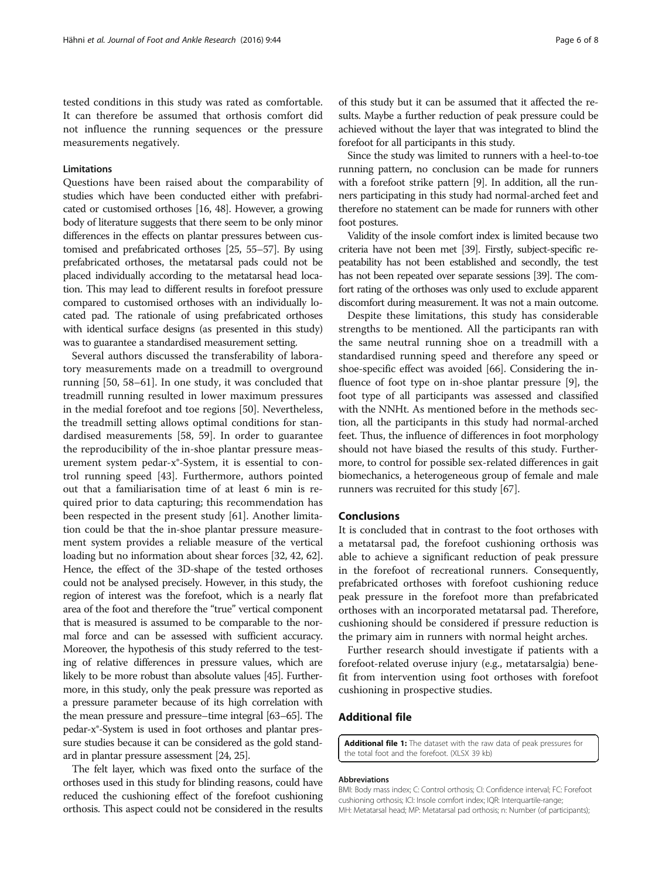tested conditions in this study was rated as comfortable. It can therefore be assumed that orthosis comfort did not influence the running sequences or the pressure measurements negatively.

#### Limitations

Questions have been raised about the comparability of studies which have been conducted either with prefabricated or customised orthoses [16, 48]. However, a growing body of literature suggests that there seem to be only minor differences in the effects on plantar pressures between customised and prefabricated orthoses [25, 55–57]. By using prefabricated orthoses, the metatarsal pads could not be placed individually according to the metatarsal head location. This may lead to different results in forefoot pressure compared to customised orthoses with an individually located pad. The rationale of using prefabricated orthoses with identical surface designs (as presented in this study) was to guarantee a standardised measurement setting.

Several authors discussed the transferability of laboratory measurements made on a treadmill to overground running [50, 58–61]. In one study, it was concluded that treadmill running resulted in lower maximum pressures in the medial forefoot and toe regions [50]. Nevertheless, the treadmill setting allows optimal conditions for standardised measurements [58, 59]. In order to guarantee the reproducibility of the in-shoe plantar pressure measurement system pedar-x®-System, it is essential to control running speed [43]. Furthermore, authors pointed out that a familiarisation time of at least 6 min is required prior to data capturing; this recommendation has been respected in the present study [61]. Another limitation could be that the in-shoe plantar pressure measurement system provides a reliable measure of the vertical loading but no information about shear forces [32, 42, 62]. Hence, the effect of the 3D-shape of the tested orthoses could not be analysed precisely. However, in this study, the region of interest was the forefoot, which is a nearly flat area of the foot and therefore the "true" vertical component that is measured is assumed to be comparable to the normal force and can be assessed with sufficient accuracy. Moreover, the hypothesis of this study referred to the testing of relative differences in pressure values, which are likely to be more robust than absolute values [45]. Furthermore, in this study, only the peak pressure was reported as a pressure parameter because of its high correlation with the mean pressure and pressure–time integral [63–65]. The pedar-x®-System is used in foot orthoses and plantar pressure studies because it can be considered as the gold standard in plantar pressure assessment [24, 25].

The felt layer, which was fixed onto the surface of the orthoses used in this study for blinding reasons, could have reduced the cushioning effect of the forefoot cushioning orthosis. This aspect could not be considered in the results of this study but it can be assumed that it affected the results. Maybe a further reduction of peak pressure could be achieved without the layer that was integrated to blind the forefoot for all participants in this study.

Since the study was limited to runners with a heel-to-toe running pattern, no conclusion can be made for runners with a forefoot strike pattern [9]. In addition, all the runners participating in this study had normal-arched feet and therefore no statement can be made for runners with other foot postures.

Validity of the insole comfort index is limited because two criteria have not been met [39]. Firstly, subject-specific repeatability has not been established and secondly, the test has not been repeated over separate sessions [39]. The comfort rating of the orthoses was only used to exclude apparent discomfort during measurement. It was not a main outcome.

Despite these limitations, this study has considerable strengths to be mentioned. All the participants ran with the same neutral running shoe on a treadmill with a standardised running speed and therefore any speed or shoe-specific effect was avoided [66]. Considering the influence of foot type on in-shoe plantar pressure [9], the foot type of all participants was assessed and classified with the NNHt. As mentioned before in the methods section, all the participants in this study had normal-arched feet. Thus, the influence of differences in foot morphology should not have biased the results of this study. Furthermore, to control for possible sex-related differences in gait biomechanics, a heterogeneous group of female and male runners was recruited for this study [67].

#### Conclusions

It is concluded that in contrast to the foot orthoses with a metatarsal pad, the forefoot cushioning orthosis was able to achieve a significant reduction of peak pressure in the forefoot of recreational runners. Consequently, prefabricated orthoses with forefoot cushioning reduce peak pressure in the forefoot more than prefabricated orthoses with an incorporated metatarsal pad. Therefore, cushioning should be considered if pressure reduction is the primary aim in runners with normal height arches.

Further research should investigate if patients with a forefoot-related overuse injury (e.g., metatarsalgia) benefit from intervention using foot orthoses with forefoot cushioning in prospective studies.

## Additional file

[Additional file 1:](dx.doi.org/10.1186/s13047-016-0176-z) The dataset with the raw data of peak pressures for the total foot and the forefoot. (XLSX 39 kb)

#### Abbreviations

BMI: Body mass index; C: Control orthosis; CI: Confidence interval; FC: Forefoot cushioning orthosis; ICI: Insole comfort index; IQR: Interquartile-range; MH: Metatarsal head; MP: Metatarsal pad orthosis; n: Number (of participants);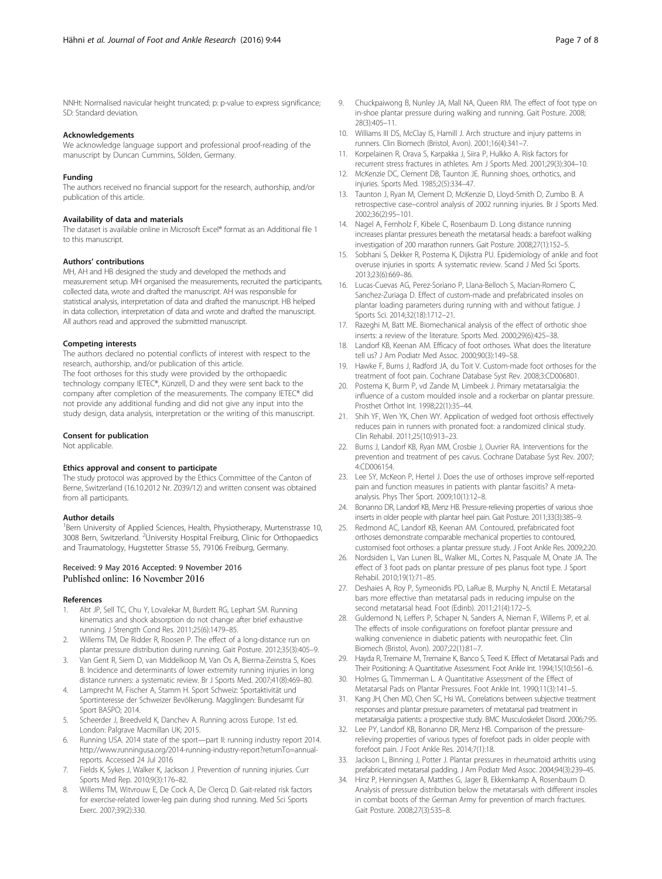NNHt: Normalised navicular height truncated; p: p-value to express significance; SD: Standard deviation.

#### Acknowledgements

We acknowledge language support and professional proof-reading of the manuscript by Duncan Cummins, Sölden, Germany.

#### Funding

The authors received no financial support for the research, authorship, and/or publication of this article.

#### Availability of data and materials

The dataset is available online in Microsoft Excel® format as an Additional file 1 to this manuscript.

#### Authors' contributions

MH, AH and HB designed the study and developed the methods and measurement setup. MH organised the measurements, recruited the participants, collected data, wrote and drafted the manuscript. AH was responsible for statistical analysis, interpretation of data and drafted the manuscript. HB helped in data collection, interpretation of data and wrote and drafted the manuscript. All authors read and approved the submitted manuscript.

#### Competing interests

The authors declared no potential conflicts of interest with respect to the research, authorship, and/or publication of this article. The foot orthoses for this study were provided by the orthopaedic technology company IETEC®, Künzell, D and they were sent back to the company after completion of the measurements. The company IETEC® did not provide any additional funding and did not give any input into the study design, data analysis, interpretation or the writing of this manuscript.

#### Consent for publication

Not applicable.

#### Ethics approval and consent to participate

The study protocol was approved by the Ethics Committee of the Canton of Berne, Switzerland (16.10.2012 Nr. Z039/12) and written consent was obtained from all participants.

#### Author details

<sup>1</sup> Bern University of Applied Sciences, Health, Physiotherapy, Murtenstrasse 10, 3008 Bern, Switzerland. <sup>2</sup>University Hospital Freiburg, Clinic for Orthopaedics and Traumatology, Hugstetter Strasse 55, 79106 Freiburg, Germany.

## Received: 9 May 2016 Accepted: 9 November 2016 Published online: 16 November 2016

#### References

- 1. Abt JP, Sell TC, Chu Y, Lovalekar M, Burdett RG, Lephart SM. Running kinematics and shock absorption do not change after brief exhaustive running. J Strength Cond Res. 2011;25(6):1479–85.
- 2. Willems TM, De Ridder R, Roosen P. The effect of a long-distance run on plantar pressure distribution during running. Gait Posture. 2012;35(3):405–9.
- 3. Van Gent R, Siem D, van Middelkoop M, Van Os A, Bierma-Zeinstra S, Koes B. Incidence and determinants of lower extremity running injuries in long distance runners: a systematic review. Br J Sports Med. 2007;41(8):469–80.
- 4. Lamprecht M, Fischer A, Stamm H. Sport Schweiz: Sportaktivität und Sportinteresse der Schweizer Bevölkerung. Magglingen: Bundesamt für Sport BASPO; 2014.
- Scheerder J, Breedveld K, Danchev A. Running across Europe. 1st ed. London: Palgrave Macmillan UK; 2015.
- 6. Running USA. 2014 state of the sport—part II: running industry report 2014. [http://www.runningusa.org/2014-running-industry-report?returnTo=annual](http://www.runningusa.org/2014-running-industry-report?returnTo=annual-reports)[reports.](http://www.runningusa.org/2014-running-industry-report?returnTo=annual-reports) Accessed 24 Jul 2016
- Fields K, Sykes J, Walker K, Jackson J. Prevention of running injuries. Curr Sports Med Rep. 2010;9(3):176–82.
- Willems TM, Witvrouw E, De Cock A, De Clercq D. Gait-related risk factors for exercise-related lower-leg pain during shod running. Med Sci Sports Exerc. 2007;39(2):330.
- 9. Chuckpaiwong B, Nunley JA, Mall NA, Queen RM. The effect of foot type on in-shoe plantar pressure during walking and running. Gait Posture. 2008; 28(3):405–11.
- 10. Williams III DS, McClay IS, Hamill J. Arch structure and injury patterns in runners. Clin Biomech (Bristol, Avon). 2001;16(4):341–7.
- 11. Korpelainen R, Orava S, Karpakka J, Siira P, Hulkko A. Risk factors for recurrent stress fractures in athletes. Am J Sports Med. 2001;29(3):304–10.
- 12. McKenzie DC, Clement DB, Taunton JE. Running shoes, orthotics, and injuries. Sports Med. 1985;2(5):334–47.
- 13. Taunton J, Ryan M, Clement D, McKenzie D, Lloyd-Smith D, Zumbo B. A retrospective case–control analysis of 2002 running injuries. Br J Sports Med. 2002;36(2):95–101.
- 14. Nagel A, Fernholz F, Kibele C, Rosenbaum D. Long distance running increases plantar pressures beneath the metatarsal heads: a barefoot walking investigation of 200 marathon runners. Gait Posture. 2008;27(1):152–5.
- 15. Sobhani S, Dekker R, Postema K, Dijkstra PU. Epidemiology of ankle and foot overuse injuries in sports: A systematic review. Scand J Med Sci Sports. 2013;23(6):669–86.
- 16. Lucas-Cuevas AG, Perez-Soriano P, Llana-Belloch S, Macian-Romero C, Sanchez-Zuriaga D. Effect of custom-made and prefabricated insoles on plantar loading parameters during running with and without fatigue. J Sports Sci. 2014;32(18):1712–21.
- 17. Razeghi M, Batt ME. Biomechanical analysis of the effect of orthotic shoe inserts: a review of the literature. Sports Med. 2000;29(6):425–38.
- Landorf KB, Keenan AM. Efficacy of foot orthoses. What does the literature tell us? J Am Podiatr Med Assoc. 2000;90(3):149–58.
- 19. Hawke F, Burns J, Radford JA, du Toit V. Custom-made foot orthoses for the treatment of foot pain. Cochrane Database Syst Rev. 2008;3:CD006801.
- 20. Postema K, Burm P, vd Zande M, Limbeek J. Primary metatarsalgia: the influence of a custom moulded insole and a rockerbar on plantar pressure. Prosthet Orthot Int. 1998;22(1):35–44.
- 21. Shih YF, Wen YK, Chen WY. Application of wedged foot orthosis effectively reduces pain in runners with pronated foot: a randomized clinical study. Clin Rehabil. 2011;25(10):913–23.
- 22. Burns J, Landorf KB, Ryan MM, Crosbie J, Ouvrier RA. Interventions for the prevention and treatment of pes cavus. Cochrane Database Syst Rev. 2007; 4:CD006154.
- 23. Lee SY, McKeon P, Hertel J. Does the use of orthoses improve self-reported pain and function measures in patients with plantar fasciitis? A metaanalysis. Phys Ther Sport. 2009;10(1):12–8.
- 24. Bonanno DR, Landorf KB, Menz HB. Pressure-relieving properties of various shoe inserts in older people with plantar heel pain. Gait Posture. 2011;33(3):385–9.
- 25. Redmond AC, Landorf KB, Keenan AM. Contoured, prefabricated foot orthoses demonstrate comparable mechanical properties to contoured, customised foot orthoses: a plantar pressure study. J Foot Ankle Res. 2009;2:20.
- 26. Nordsiden L, Van Lunen BL, Walker ML, Cortes N, Pasquale M, Onate JA. The effect of 3 foot pads on plantar pressure of pes planus foot type. J Sport Rehabil. 2010;19(1):71–85.
- 27. Deshaies A, Roy P, Symeonidis PD, LaRue B, Murphy N, Anctil E. Metatarsal bars more effective than metatarsal pads in reducing impulse on the second metatarsal head. Foot (Edinb). 2011;21(4):172–5.
- 28. Guldemond N, Leffers P, Schaper N, Sanders A, Nieman F, Willems P, et al. The effects of insole configurations on forefoot plantar pressure and walking convenience in diabetic patients with neuropathic feet. Clin Biomech (Bristol, Avon). 2007;22(1):81–7.
- 29. Hayda R, Tremaine M, Tremaine K, Banco S, Teed K. Effect of Metatarsal Pads and Their Positioning: A Quantitative Assessment. Foot Ankle Int. 1994;15(10):561–6.
- 30. Holmes G, Timmerman L. A Quantitative Assessment of the Effect of Metatarsal Pads on Plantar Pressures. Foot Ankle Int. 1990;11(3):141–5.
- 31. Kang JH, Chen MD, Chen SC, Hsi WL. Correlations between subjective treatment responses and plantar pressure parameters of metatarsal pad treatment in metatarsalgia patients: a prospective study. BMC Musculoskelet Disord. 2006;7:95.
- 32. Lee PY, Landorf KB, Bonanno DR, Menz HB. Comparison of the pressurerelieving properties of various types of forefoot pads in older people with forefoot pain. J Foot Ankle Res. 2014;7(1):18.
- 33. Jackson L, Binning J, Potter J. Plantar pressures in rheumatoid arthritis using prefabricated metatarsal padding. J Am Podiatr Med Assoc. 2004;94(3):239–45.
- 34. Hinz P, Henningsen A, Matthes G, Jager B, Ekkernkamp A, Rosenbaum D. Analysis of pressure distribution below the metatarsals with different insoles in combat boots of the German Army for prevention of march fractures. Gait Posture. 2008;27(3):535–8.